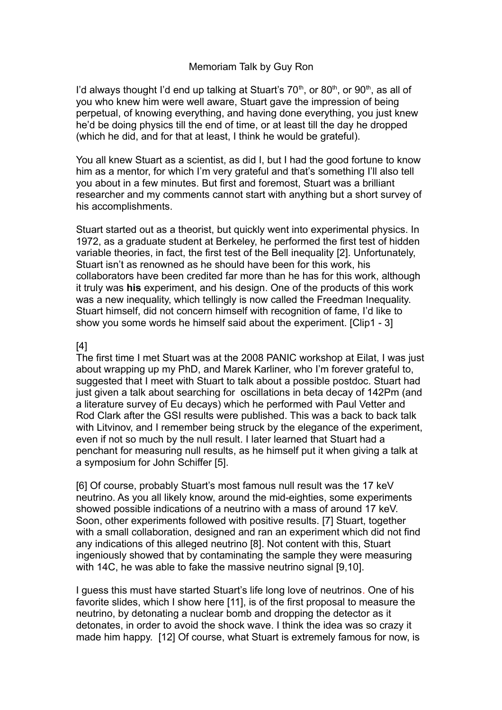## Memoriam Talk by Guy Ron

I'd always thought I'd end up talking at Stuart's  $70<sup>th</sup>$ , or  $80<sup>th</sup>$ , or  $90<sup>th</sup>$ , as all of you who knew him were well aware, Stuart gave the impression of being perpetual, of knowing everything, and having done everything, you just knew he'd be doing physics till the end of time, or at least till the day he dropped (which he did, and for that at least, I think he would be grateful).

You all knew Stuart as a scientist, as did I, but I had the good fortune to know him as a mentor, for which I'm very grateful and that's something I'll also tell you about in a few minutes. But first and foremost, Stuart was a brilliant researcher and my comments cannot start with anything but a short survey of his accomplishments.

Stuart started out as a theorist, but quickly went into experimental physics. In 1972, as a graduate student at Berkeley, he performed the first test of hidden variable theories, in fact, the first test of the Bell inequality [2]. Unfortunately, Stuart isn't as renowned as he should have been for this work, his collaborators have been credited far more than he has for this work, although it truly was **his** experiment, and his design. One of the products of this work was a new inequality, which tellingly is now called the Freedman Inequality. Stuart himself, did not concern himself with recognition of fame, I'd like to show you some words he himself said about the experiment. [Clip1 - 3]

## [4]

The first time I met Stuart was at the 2008 PANIC workshop at Eilat, I was just about wrapping up my PhD, and Marek Karliner, who I'm forever grateful to, suggested that I meet with Stuart to talk about a possible postdoc. Stuart had just given a talk about searching for oscillations in beta decay of 142Pm (and a literature survey of Eu decays) which he performed with Paul Vetter and Rod Clark after the GSI results were published. This was a back to back talk with Litvinov, and I remember being struck by the elegance of the experiment, even if not so much by the null result. I later learned that Stuart had a penchant for measuring null results, as he himself put it when giving a talk at a symposium for John Schiffer [5].

[6] Of course, probably Stuart's most famous null result was the 17 keV neutrino. As you all likely know, around the mid-eighties, some experiments showed possible indications of a neutrino with a mass of around 17 keV. Soon, other experiments followed with positive results. [7] Stuart, together with a small collaboration, designed and ran an experiment which did not find any indications of this alleged neutrino [8]. Not content with this, Stuart ingeniously showed that by contaminating the sample they were measuring with 14C, he was able to fake the massive neutrino signal [9,10].

I guess this must have started Stuart's life long love of neutrinos. One of his favorite slides, which I show here [11], is of the first proposal to measure the neutrino, by detonating a nuclear bomb and dropping the detector as it detonates, in order to avoid the shock wave. I think the idea was so crazy it made him happy. [12] Of course, what Stuart is extremely famous for now, is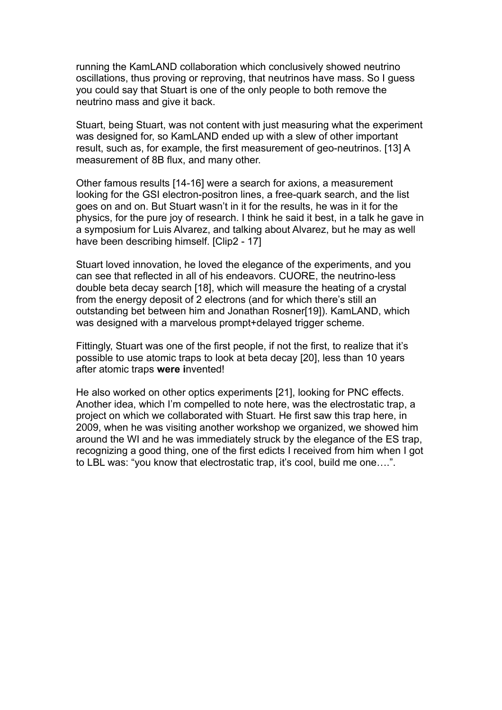running the KamLAND collaboration which conclusively showed neutrino oscillations, thus proving or reproving, that neutrinos have mass. So I guess you could say that Stuart is one of the only people to both remove the neutrino mass and give it back.

Stuart, being Stuart, was not content with just measuring what the experiment was designed for, so KamLAND ended up with a slew of other important result, such as, for example, the first measurement of geo-neutrinos. [13] A measurement of 8B flux, and many other.

Other famous results [14-16] were a search for axions, a measurement looking for the GSI electron-positron lines, a free-quark search, and the list goes on and on. But Stuart wasn't in it for the results, he was in it for the physics, for the pure joy of research. I think he said it best, in a talk he gave in a symposium for Luis Alvarez, and talking about Alvarez, but he may as well have been describing himself. [Clip2 - 17]

Stuart loved innovation, he loved the elegance of the experiments, and you can see that reflected in all of his endeavors. CUORE, the neutrino-less double beta decay search [18], which will measure the heating of a crystal from the energy deposit of 2 electrons (and for which there's still an outstanding bet between him and Jonathan Rosner[19]). KamLAND, which was designed with a marvelous prompt+delayed trigger scheme.

Fittingly, Stuart was one of the first people, if not the first, to realize that it's possible to use atomic traps to look at beta decay [20], less than 10 years after atomic traps **were i**nvented!

He also worked on other optics experiments [21], looking for PNC effects. Another idea, which I'm compelled to note here, was the electrostatic trap, a project on which we collaborated with Stuart. He first saw this trap here, in 2009, when he was visiting another workshop we organized, we showed him around the WI and he was immediately struck by the elegance of the ES trap, recognizing a good thing, one of the first edicts I received from him when I got to LBL was: "you know that electrostatic trap, it's cool, build me one….".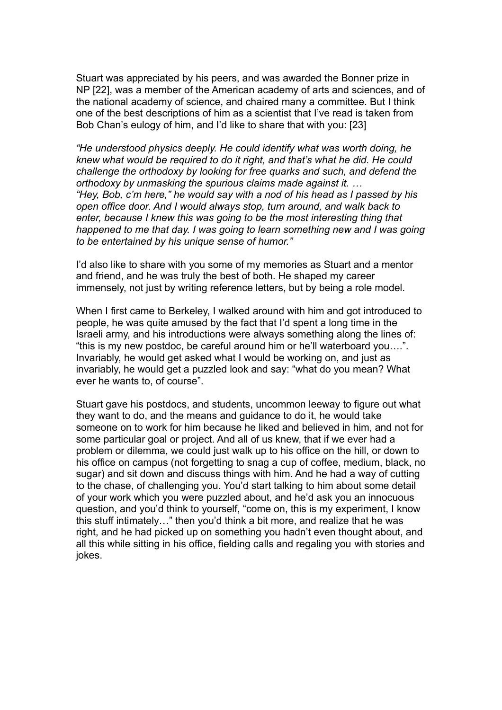Stuart was appreciated by his peers, and was awarded the Bonner prize in NP [22], was a member of the American academy of arts and sciences, and of the national academy of science, and chaired many a committee. But I think one of the best descriptions of him as a scientist that I've read is taken from Bob Chan's eulogy of him, and I'd like to share that with you: [23]

*"He understood physics deeply. He could identify what was worth doing, he knew what would be required to do it right, and that's what he did. He could challenge the orthodoxy by looking for free quarks and such, and defend the orthodoxy by unmasking the spurious claims made against it. … "Hey, Bob, c'm here," he would say with a nod of his head as I passed by his open office door. And I would always stop, turn around, and walk back to enter, because I knew this was going to be the most interesting thing that happened to me that day. I was going to learn something new and I was going to be entertained by his unique sense of humor."*

I'd also like to share with you some of my memories as Stuart and a mentor and friend, and he was truly the best of both. He shaped my career immensely, not just by writing reference letters, but by being a role model.

When I first came to Berkeley, I walked around with him and got introduced to people, he was quite amused by the fact that I'd spent a long time in the Israeli army, and his introductions were always something along the lines of: "this is my new postdoc, be careful around him or he'll waterboard you….". Invariably, he would get asked what I would be working on, and just as invariably, he would get a puzzled look and say: "what do you mean? What ever he wants to, of course".

Stuart gave his postdocs, and students, uncommon leeway to figure out what they want to do, and the means and guidance to do it, he would take someone on to work for him because he liked and believed in him, and not for some particular goal or project. And all of us knew, that if we ever had a problem or dilemma, we could just walk up to his office on the hill, or down to his office on campus (not forgetting to snag a cup of coffee, medium, black, no sugar) and sit down and discuss things with him. And he had a way of cutting to the chase, of challenging you. You'd start talking to him about some detail of your work which you were puzzled about, and he'd ask you an innocuous question, and you'd think to yourself, "come on, this is my experiment, I know this stuff intimately…" then you'd think a bit more, and realize that he was right, and he had picked up on something you hadn't even thought about, and all this while sitting in his office, fielding calls and regaling you with stories and jokes.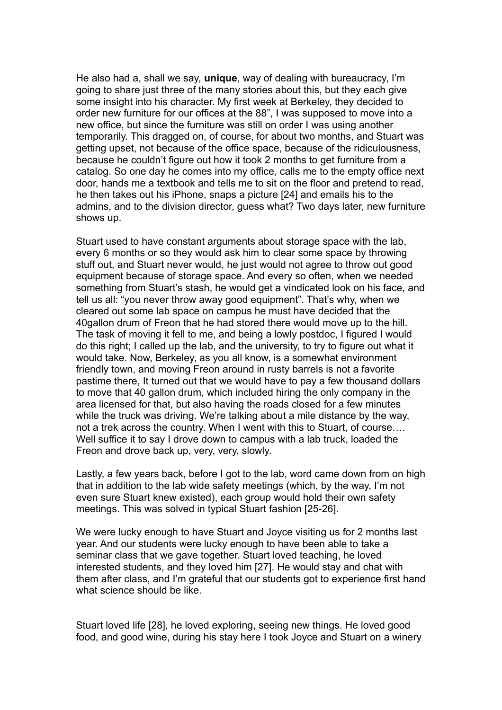He also had a, shall we say, **unique**, way of dealing with bureaucracy, I'm going to share just three of the many stories about this, but they each give some insight into his character. My first week at Berkeley, they decided to order new furniture for our offices at the 88", I was supposed to move into a new office, but since the furniture was still on order I was using another temporarily. This dragged on, of course, for about two months, and Stuart was getting upset, not because of the office space, because of the ridiculousness, because he couldn't figure out how it took 2 months to get furniture from a catalog. So one day he comes into my office, calls me to the empty office next door, hands me a textbook and tells me to sit on the floor and pretend to read, he then takes out his iPhone, snaps a picture [24] and emails his to the admins, and to the division director, guess what? Two days later, new furniture shows up.

Stuart used to have constant arguments about storage space with the lab, every 6 months or so they would ask him to clear some space by throwing stuff out, and Stuart never would, he just would not agree to throw out good equipment because of storage space. And every so often, when we needed something from Stuart's stash, he would get a vindicated look on his face, and tell us all: "you never throw away good equipment". That's why, when we cleared out some lab space on campus he must have decided that the 40gallon drum of Freon that he had stored there would move up to the hill. The task of moving it fell to me, and being a lowly postdoc, I figured I would do this right; I called up the lab, and the university, to try to figure out what it would take. Now, Berkeley, as you all know, is a somewhat environment friendly town, and moving Freon around in rusty barrels is not a favorite pastime there, It turned out that we would have to pay a few thousand dollars to move that 40 gallon drum, which included hiring the only company in the area licensed for that, but also having the roads closed for a few minutes while the truck was driving. We're talking about a mile distance by the way, not a trek across the country. When I went with this to Stuart, of course…. Well suffice it to say I drove down to campus with a lab truck, loaded the Freon and drove back up, very, very, slowly.

Lastly, a few years back, before I got to the lab, word came down from on high that in addition to the lab wide safety meetings (which, by the way, I'm not even sure Stuart knew existed), each group would hold their own safety meetings. This was solved in typical Stuart fashion [25-26].

We were lucky enough to have Stuart and Joyce visiting us for 2 months last year. And our students were lucky enough to have been able to take a seminar class that we gave together. Stuart loved teaching, he loved interested students, and they loved him [27]. He would stay and chat with them after class, and I'm grateful that our students got to experience first hand what science should be like.

Stuart loved life [28], he loved exploring, seeing new things. He loved good food, and good wine, during his stay here I took Joyce and Stuart on a winery